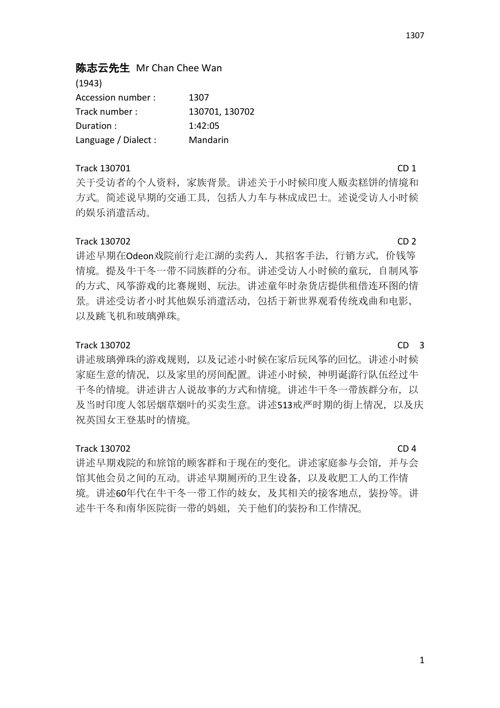# 陈志云先生 Mr Chan Chee Wan

(1943) Accession number : 1307 Track number : 130701, 130702 Duration : 1:42:05 Language / Dialect : Mandarin

## Track 130701 CD 1

关于受访者的个人资料,家族背景。讲述关于小时候印度人贩卖糕饼的情境和 方式。简述说早期的交通工具,包括人力车与林成成巴士。述说受访人小时候 的娱乐消遣活动。

## Track 130702 CD 2

讲述早期在Odeon戏院前行走江湖的卖药人,其招客手法,行销方式,价钱等 情境。提及牛干冬一带不同族群的分布。讲述受访人小时候的童玩,自制风筝 的方式、风筝游戏的比赛规则、玩法。讲述童年时杂货店提供租借连环图的情 景。讲述受访者小时其他娱乐消遣活动,包括于新世界观看传统戏曲和电影, 以及跳飞机和玻璃弹珠。

### Track 130702 CD 3

讲述玻璃弹珠的游戏规则,以及记述小时候在家后玩风筝的回忆。讲述小时候 家庭生意的情况,以及家里的房间配置。讲述小时候,神明诞游行队伍经过牛 干冬的情境。讲述讲古人说故事的方式和情境。讲述牛干冬一带族群分布,以 及当时印度人邻居烟草烟叶的买卖生意。讲述513戒严时期的街上情况,以及庆 祝英国女王登基时的情境。

### Track 130702 CD 4

讲述早期戏院的和旅馆的顾客群和于现在的变化。讲述家庭参与会馆,并与会 馆其他会员之间的互动。讲述早期厕所的卫生设备,以及收肥工人的工作情 境。讲述60年代在牛干冬一带工作的妓女,及其相关的接客地点,装扮等。讲 述牛干冬和南华医院街一带的妈姐,关于他们的装扮和工作情况。